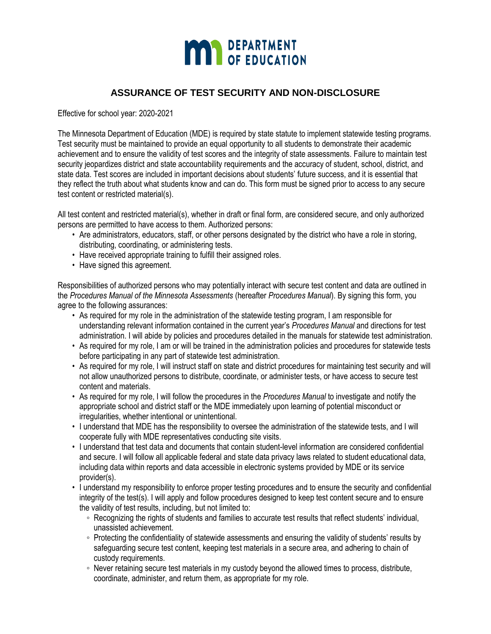

# **ASSURANCE OF TEST SECURITY AND NON-DISCLOSURE**

Effective for school year: 2020-2021

The Minnesota Department of Education (MDE) is required by state statute to implement statewide testing programs. Test security must be maintained to provide an equal opportunity to all students to demonstrate their academic achievement and to ensure the validity of test scores and the integrity of state assessments. Failure to maintain test security jeopardizes district and state accountability requirements and the accuracy of student, school, district, and state data. Test scores are included in important decisions about students' future success, and it is essential that they reflect the truth about what students know and can do. This form must be signed prior to access to any secure test content or restricted material(s).

All test content and restricted material(s), whether in draft or final form, are considered secure, and only authorized persons are permitted to have access to them. Authorized persons:

- Are administrators, educators, staff, or other persons designated by the district who have a role in storing, distributing, coordinating, or administering tests.
- Have received appropriate training to fulfill their assigned roles.
- Have signed this agreement.

Responsibilities of authorized persons who may potentially interact with secure test content and data are outlined in the *Procedures Manual of the Minnesota Assessments* (hereafter *Procedures Manual*). By signing this form, you agree to the following assurances:

- As required for my role in the administration of the statewide testing program, I am responsible for understanding relevant information contained in the current year's *Procedures Manual* and directions for test administration. I will abide by policies and procedures detailed in the manuals for statewide test administration.
- As required for my role, I am or will be trained in the administration policies and procedures for statewide tests before participating in any part of statewide test administration.
- As required for my role, I will instruct staff on state and district procedures for maintaining test security and will not allow unauthorized persons to distribute, coordinate, or administer tests, or have access to secure test content and materials.
- As required for my role, I will follow the procedures in the *Procedures Manual* to investigate and notify the appropriate school and district staff or the MDE immediately upon learning of potential misconduct or irregularities, whether intentional or unintentional.
- I understand that MDE has the responsibility to oversee the administration of the statewide tests, and I will cooperate fully with MDE representatives conducting site visits.
- I understand that test data and documents that contain student-level information are considered confidential and secure. I will follow all applicable federal and state data privacy laws related to student educational data, including data within reports and data accessible in electronic systems provided by MDE or its service provider(s).
- I understand my responsibility to enforce proper testing procedures and to ensure the security and confidential integrity of the test(s). I will apply and follow procedures designed to keep test content secure and to ensure the validity of test results, including, but not limited to:
	- Recognizing the rights of students and families to accurate test results that reflect students' individual, unassisted achievement.
	- Protecting the confidentiality of statewide assessments and ensuring the validity of students' results by safeguarding secure test content, keeping test materials in a secure area, and adhering to chain of custody requirements.
	- Never retaining secure test materials in my custody beyond the allowed times to process, distribute, coordinate, administer, and return them, as appropriate for my role.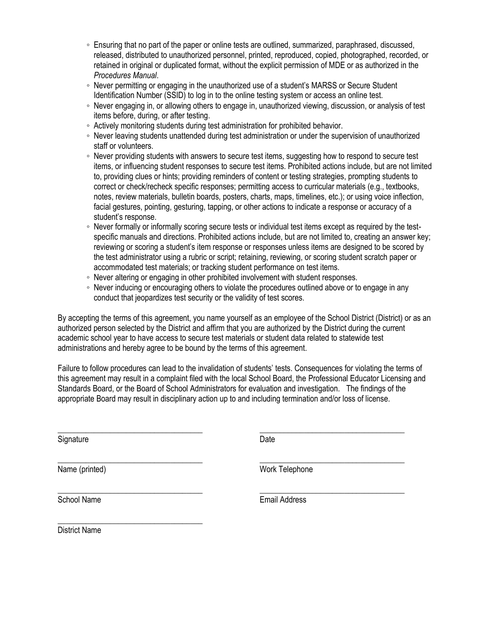- Ensuring that no part of the paper or online tests are outlined, summarized, paraphrased, discussed, released, distributed to unauthorized personnel, printed, reproduced, copied, photographed, recorded, or retained in original or duplicated format, without the explicit permission of MDE or as authorized in the *Procedures Manual*.
- Never permitting or engaging in the unauthorized use of a student's MARSS or Secure Student Identification Number (SSID) to log in to the online testing system or access an online test.
- Never engaging in, or allowing others to engage in, unauthorized viewing, discussion, or analysis of test items before, during, or after testing.
- Actively monitoring students during test administration for prohibited behavior.
- Never leaving students unattended during test administration or under the supervision of unauthorized staff or volunteers.
- Never providing students with answers to secure test items, suggesting how to respond to secure test items, or influencing student responses to secure test items. Prohibited actions include, but are not limited to, providing clues or hints; providing reminders of content or testing strategies, prompting students to correct or check/recheck specific responses; permitting access to curricular materials (e.g., textbooks, notes, review materials, bulletin boards, posters, charts, maps, timelines, etc.); or using voice inflection, facial gestures, pointing, gesturing, tapping, or other actions to indicate a response or accuracy of a student's response.
- Never formally or informally scoring secure tests or individual test items except as required by the testspecific manuals and directions. Prohibited actions include, but are not limited to, creating an answer key; reviewing or scoring a student's item response or responses unless items are designed to be scored by the test administrator using a rubric or script; retaining, reviewing, or scoring student scratch paper or accommodated test materials; or tracking student performance on test items.
- Never altering or engaging in other prohibited involvement with student responses.
- Never inducing or encouraging others to violate the procedures outlined above or to engage in any conduct that jeopardizes test security or the validity of test scores.

By accepting the terms of this agreement, you name yourself as an employee of the School District (District) or as an authorized person selected by the District and affirm that you are authorized by the District during the current academic school year to have access to secure test materials or student data related to statewide test administrations and hereby agree to be bound by the terms of this agreement.

Failure to follow procedures can lead to the invalidation of students' tests. Consequences for violating the terms of this agreement may result in a complaint filed with the local School Board, the Professional Educator Licensing and Standards Board, or the Board of School Administrators for evaluation and investigation. The findings of the appropriate Board may result in disciplinary action up to and including termination and/or loss of license.

\_\_\_\_\_\_\_\_\_\_\_\_\_\_\_\_\_\_\_\_\_\_\_\_\_\_\_\_\_\_\_\_\_\_\_\_ \_\_\_\_\_\_\_\_\_\_\_\_\_\_\_\_\_\_\_\_\_\_\_\_\_\_\_\_\_\_\_\_\_\_\_\_

\_\_\_\_\_\_\_\_\_\_\_\_\_\_\_\_\_\_\_\_\_\_\_\_\_\_\_\_\_\_\_\_\_\_\_\_ \_\_\_\_\_\_\_\_\_\_\_\_\_\_\_\_\_\_\_\_\_\_\_\_\_\_\_\_\_\_\_\_\_\_\_\_

Signature Date **Date** 

Name (printed) Name (printed) Work Telephone

\_\_\_\_\_\_\_\_\_\_\_\_\_\_\_\_\_\_\_\_\_\_\_\_\_\_\_\_\_\_\_\_\_\_\_\_ \_\_\_\_\_\_\_\_\_\_\_\_\_\_\_\_\_\_\_\_\_\_\_\_\_\_\_\_\_\_\_\_\_\_\_\_

School Name **Email Address** 

District Name

\_\_\_\_\_\_\_\_\_\_\_\_\_\_\_\_\_\_\_\_\_\_\_\_\_\_\_\_\_\_\_\_\_\_\_\_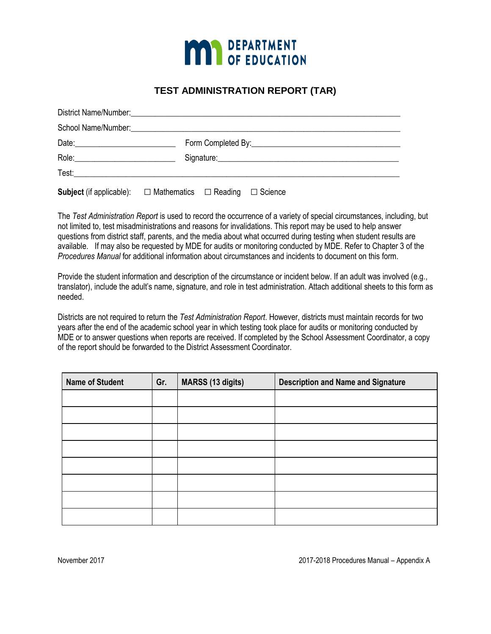

## **TEST ADMINISTRATION REPORT (TAR)**

|  | Signature: Signature:                                                                     |  |  |  |  |  |  |  |
|--|-------------------------------------------------------------------------------------------|--|--|--|--|--|--|--|
|  |                                                                                           |  |  |  |  |  |  |  |
|  | <b>Subject</b> (if applicable): $\square$ Mathematics $\square$ Reading $\square$ Science |  |  |  |  |  |  |  |

The *Test Administration Report* is used to record the occurrence of a variety of special circumstances, including, but not limited to, test misadministrations and reasons for invalidations. This report may be used to help answer questions from district staff, parents, and the media about what occurred during testing when student results are available. If may also be requested by MDE for audits or monitoring conducted by MDE. Refer to Chapter 3 of the *Procedures Manual* for additional information about circumstances and incidents to document on this form.

Provide the student information and description of the circumstance or incident below. If an adult was involved (e.g., translator), include the adult's name, signature, and role in test administration. Attach additional sheets to this form as needed.

Districts are not required to return the *Test Administration Report*. However, districts must maintain records for two years after the end of the academic school year in which testing took place for audits or monitoring conducted by MDE or to answer questions when reports are received. If completed by the School Assessment Coordinator, a copy of the report should be forwarded to the District Assessment Coordinator.

| <b>Name of Student</b> | Gr. | <b>MARSS (13 digits)</b> | <b>Description and Name and Signature</b> |  |
|------------------------|-----|--------------------------|-------------------------------------------|--|
|                        |     |                          |                                           |  |
|                        |     |                          |                                           |  |
|                        |     |                          |                                           |  |
|                        |     |                          |                                           |  |
|                        |     |                          |                                           |  |
|                        |     |                          |                                           |  |
|                        |     |                          |                                           |  |
|                        |     |                          |                                           |  |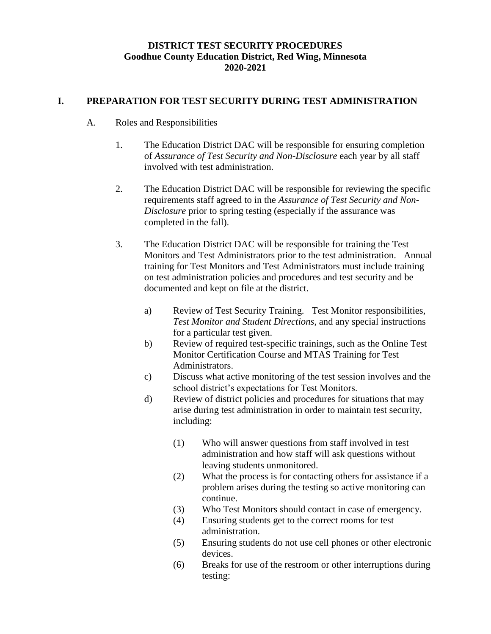## **DISTRICT TEST SECURITY PROCEDURES Goodhue County Education District, Red Wing, Minnesota 2020-2021**

### **I. PREPARATION FOR TEST SECURITY DURING TEST ADMINISTRATION**

### A. Roles and Responsibilities

- 1. The Education District DAC will be responsible for ensuring completion of *Assurance of Test Security and Non-Disclosure* each year by all staff involved with test administration.
- 2. The Education District DAC will be responsible for reviewing the specific requirements staff agreed to in the *Assurance of Test Security and Non-Disclosure* prior to spring testing (especially if the assurance was completed in the fall).
- 3. The Education District DAC will be responsible for training the Test Monitors and Test Administrators prior to the test administration. Annual training for Test Monitors and Test Administrators must include training on test administration policies and procedures and test security and be documented and kept on file at the district.
	- a) Review of Test Security Training. Test Monitor responsibilities, *Test Monitor and Student Directions*, and any special instructions for a particular test given.
	- b) Review of required test-specific trainings, such as the Online Test Monitor Certification Course and MTAS Training for Test Administrators.
	- c) Discuss what active monitoring of the test session involves and the school district's expectations for Test Monitors.
	- d) Review of district policies and procedures for situations that may arise during test administration in order to maintain test security, including:
		- (1) Who will answer questions from staff involved in test administration and how staff will ask questions without leaving students unmonitored.
		- (2) What the process is for contacting others for assistance if a problem arises during the testing so active monitoring can continue.
		- (3) Who Test Monitors should contact in case of emergency.
		- (4) Ensuring students get to the correct rooms for test administration.
		- (5) Ensuring students do not use cell phones or other electronic devices.
		- (6) Breaks for use of the restroom or other interruptions during testing: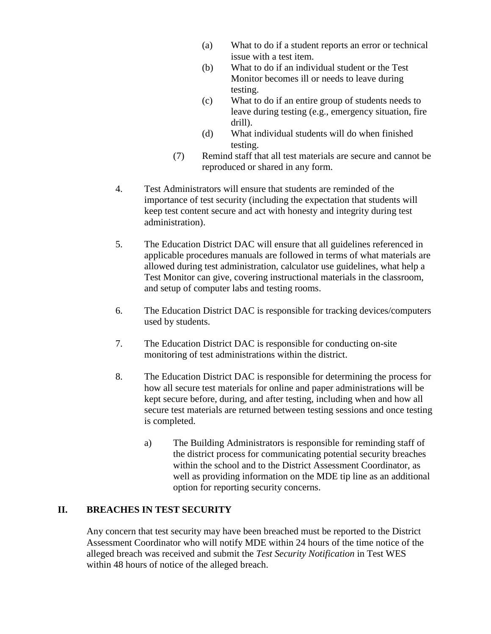- (a) What to do if a student reports an error or technical issue with a test item.
- (b) What to do if an individual student or the Test Monitor becomes ill or needs to leave during testing.
- (c) What to do if an entire group of students needs to leave during testing (e.g., emergency situation, fire drill).
- (d) What individual students will do when finished testing.
- (7) Remind staff that all test materials are secure and cannot be reproduced or shared in any form.
- 4. Test Administrators will ensure that students are reminded of the importance of test security (including the expectation that students will keep test content secure and act with honesty and integrity during test administration).
- 5. The Education District DAC will ensure that all guidelines referenced in applicable procedures manuals are followed in terms of what materials are allowed during test administration, calculator use guidelines, what help a Test Monitor can give, covering instructional materials in the classroom, and setup of computer labs and testing rooms.
- 6. The Education District DAC is responsible for tracking devices/computers used by students.
- 7. The Education District DAC is responsible for conducting on-site monitoring of test administrations within the district.
- 8. The Education District DAC is responsible for determining the process for how all secure test materials for online and paper administrations will be kept secure before, during, and after testing, including when and how all secure test materials are returned between testing sessions and once testing is completed.
	- a) The Building Administrators is responsible for reminding staff of the district process for communicating potential security breaches within the school and to the District Assessment Coordinator, as well as providing information on the MDE tip line as an additional option for reporting security concerns.

### **II. BREACHES IN TEST SECURITY**

Any concern that test security may have been breached must be reported to the District Assessment Coordinator who will notify MDE within 24 hours of the time notice of the alleged breach was received and submit the *Test Security Notification* in Test WES within 48 hours of notice of the alleged breach.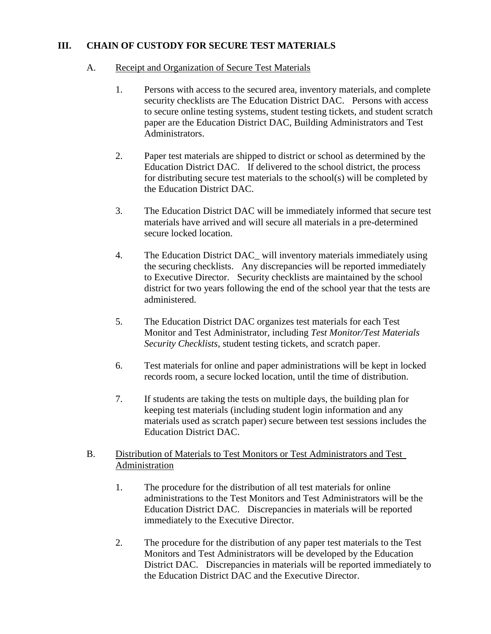### **III. CHAIN OF CUSTODY FOR SECURE TEST MATERIALS**

#### A. Receipt and Organization of Secure Test Materials

- 1. Persons with access to the secured area, inventory materials, and complete security checklists are The Education District DAC. Persons with access to secure online testing systems, student testing tickets, and student scratch paper are the Education District DAC, Building Administrators and Test Administrators.
- 2. Paper test materials are shipped to district or school as determined by the Education District DAC. If delivered to the school district, the process for distributing secure test materials to the school(s) will be completed by the Education District DAC.
- 3. The Education District DAC will be immediately informed that secure test materials have arrived and will secure all materials in a pre-determined secure locked location.
- 4. The Education District DAC\_ will inventory materials immediately using the securing checklists. Any discrepancies will be reported immediately to Executive Director. Security checklists are maintained by the school district for two years following the end of the school year that the tests are administered.
- 5. The Education District DAC organizes test materials for each Test Monitor and Test Administrator, including *Test Monitor/Test Materials Security Checklists*, student testing tickets, and scratch paper.
- 6. Test materials for online and paper administrations will be kept in locked records room, a secure locked location, until the time of distribution.
- 7. If students are taking the tests on multiple days, the building plan for keeping test materials (including student login information and any materials used as scratch paper) secure between test sessions includes the Education District DAC.

#### B. Distribution of Materials to Test Monitors or Test Administrators and Test Administration

- 1. The procedure for the distribution of all test materials for online administrations to the Test Monitors and Test Administrators will be the Education District DAC. Discrepancies in materials will be reported immediately to the Executive Director.
- 2. The procedure for the distribution of any paper test materials to the Test Monitors and Test Administrators will be developed by the Education District DAC. Discrepancies in materials will be reported immediately to the Education District DAC and the Executive Director.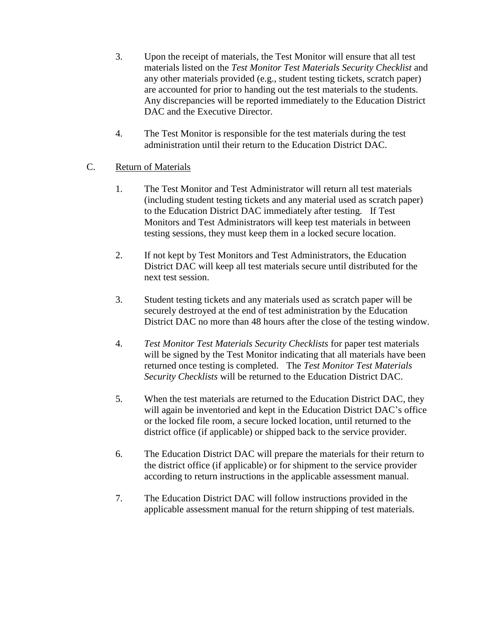- 3. Upon the receipt of materials, the Test Monitor will ensure that all test materials listed on the *Test Monitor Test Materials Security Checklist* and any other materials provided (e.g., student testing tickets, scratch paper) are accounted for prior to handing out the test materials to the students. Any discrepancies will be reported immediately to the Education District DAC and the Executive Director.
- 4. The Test Monitor is responsible for the test materials during the test administration until their return to the Education District DAC.

## C. Return of Materials

- 1. The Test Monitor and Test Administrator will return all test materials (including student testing tickets and any material used as scratch paper) to the Education District DAC immediately after testing. If Test Monitors and Test Administrators will keep test materials in between testing sessions, they must keep them in a locked secure location.
- 2. If not kept by Test Monitors and Test Administrators, the Education District DAC will keep all test materials secure until distributed for the next test session.
- 3. Student testing tickets and any materials used as scratch paper will be securely destroyed at the end of test administration by the Education District DAC no more than 48 hours after the close of the testing window.
- 4. *Test Monitor Test Materials Security Checklists* for paper test materials will be signed by the Test Monitor indicating that all materials have been returned once testing is completed. The *Test Monitor Test Materials Security Checklists* will be returned to the Education District DAC.
- 5. When the test materials are returned to the Education District DAC, they will again be inventoried and kept in the Education District DAC's office or the locked file room, a secure locked location, until returned to the district office (if applicable) or shipped back to the service provider.
- 6. The Education District DAC will prepare the materials for their return to the district office (if applicable) or for shipment to the service provider according to return instructions in the applicable assessment manual.
- 7. The Education District DAC will follow instructions provided in the applicable assessment manual for the return shipping of test materials.